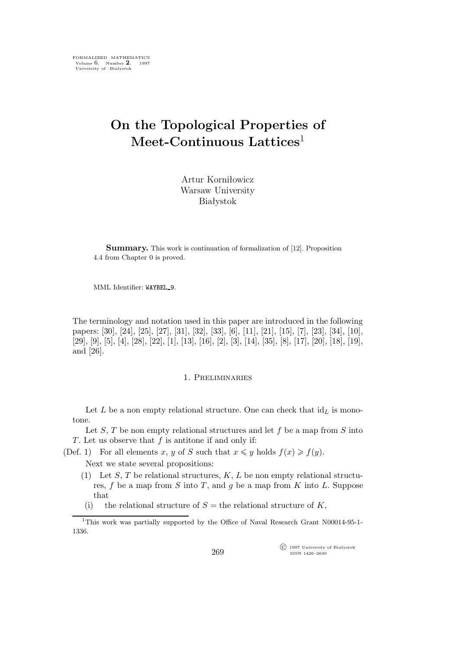# **On the Topological Properties of Meet-Continuous Lattices**<sup>1</sup>

Artur Korniłowicz Warsaw University Białystok

**Summary.** This work is continuation of formalization of [12]. Proposition 4.4 from Chapter 0 is proved.

MML Identifier: WAYBEL 9.

The terminology and notation used in this paper are introduced in the following papers: [30], [24], [25], [27], [31], [32], [33], [6], [11], [21], [15], [7], [23], [34], [10], [29], [9], [5], [4], [28], [22], [1], [13], [16], [2], [3], [14], [35], [8], [17], [20], [18], [19], and [26].

### 1. Preliminaries

Let L be a non empty relational structure. One can check that  $\mathrm{id}_L$  is monotone.

Let  $S$ ,  $T$  be non empty relational structures and let  $f$  be a map from  $S$  into T. Let us observe that  $f$  is antitone if and only if:

(Def. 1) For all elements x, y of S such that  $x \leq y$  holds  $f(x) \geq f(y)$ .

Next we state several propositions:

- (1) Let S, T be relational structures,  $K, L$  be non empty relational structures,  $f$  be a map from  $S$  into  $T$ , and  $g$  be a map from  $K$  into  $L$ . Suppose that
- (i) the relational structure of  $S =$  the relational structure of  $K$ ,

 $\widehat{C}$  1997 University of Białystok ISSN 1426–2630

<sup>1</sup>This work was partially supported by the Office of Naval Research Grant N00014-95-1- 1336.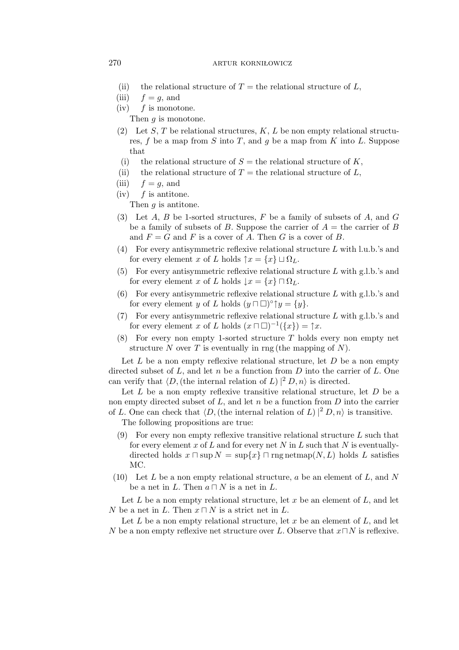#### 270 **artur kornikowicz**

- (ii) the relational structure of  $T =$  the relational structure of L,
- (iii)  $f = q$ , and
- $(iv)$  f is monotone.
	- Then *g* is monotone.
- (2) Let S, T be relational structures,  $K, L$  be non empty relational structures,  $f$  be a map from  $S$  into  $T$ , and  $g$  be a map from  $K$  into  $L$ . Suppose that
- (i) the relational structure of  $S =$  the relational structure of K,
- (ii) the relational structure of  $T =$  the relational structure of L,
- (iii)  $f = q$ , and
- $(iv)$  f is antitone.

Then q is antitone.

- (3) Let  $A, B$  be 1-sorted structures,  $F$  be a family of subsets of  $A$ , and  $G$ be a family of subsets of B. Suppose the carrier of  $A =$  the carrier of B and  $F = G$  and F is a cover of A. Then G is a cover of B.
- (4) For every antisymmetric reflexive relational structure L with l.u.b.'s and for every element x of L holds  $\uparrow x = \{x\} \sqcup \Omega_L$ .
- (5) For every antisymmetric reflexive relational structure L with g.l.b.'s and for every element x of L holds  $\downarrow x = \{x\} \sqcap \Omega_L$ .
- (6) For every antisymmetric reflexive relational structure L with g.l.b.'s and for every element y of L holds  $(y \sqcap \Box)^{\circ} \uparrow y = \{y\}.$
- (7) For every antisymmetric reflexive relational structure L with g.l.b.'s and for every element x of L holds  $(x \sqcap \Box)^{-1}(\lbrace x \rbrace) = \uparrow x$ .
- $(8)$  For every non empty 1-sorted structure T holds every non empty net structure N over T is eventually in rng (the mapping of N).

Let  $L$  be a non empty reflexive relational structure, let  $D$  be a non empty directed subset of  $L$ , and let  $n$  be a function from  $D$  into the carrier of  $L$ . One can verify that  $\langle D, \text{(the internal relation of } L) |^2 D, n \rangle$  is directed.

Let  $L$  be a non empty reflexive transitive relational structure, let  $D$  be a non empty directed subset of  $L$ , and let  $n$  be a function from  $D$  into the carrier of L. One can check that  $\langle D,$  (the internal relation of L)  $|^{2} D, n \rangle$  is transitive.

The following propositions are true:

- (9) For every non empty reflexive transitive relational structure  $L$  such that for every element x of L and for every net N in L such that N is eventuallydirected holds  $x \sqcap \sup N = \sup\{x\} \sqcap \text{rng}\,\text{netmap}(N,L)$  holds L satisfies MC.
- (10) Let  $L$  be a non empty relational structure,  $a$  be an element of  $L$ , and  $N$ be a net in L. Then  $a \sqcap N$  is a net in L.

Let L be a non empty relational structure, let x be an element of  $L$ , and let N be a net in L. Then x *⊓* N is a strict net in L.

Let L be a non empty relational structure, let x be an element of  $L$ , and let N be a non empty reflexive net structure over L. Observe that x*⊓*N is reflexive.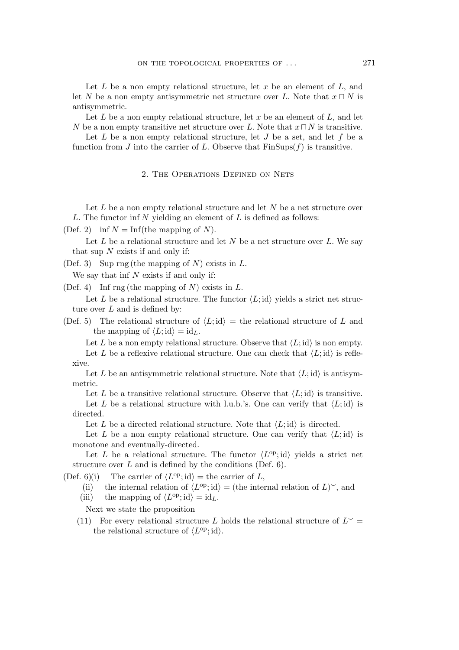Let  $L$  be a non empty relational structure, let  $x$  be an element of  $L$ , and let N be a non empty antisymmetric net structure over L. Note that  $x \sqcap N$  is antisymmetric.

Let L be a non empty relational structure, let x be an element of L, and let N be a non empty transitive net structure over L. Note that x*⊓* N is transitive.

Let  $L$  be a non empty relational structure, let  $J$  be a set, and let  $f$  be a function from J into the carrier of L. Observe that  $\text{FinSups}(f)$  is transitive.

### 2. The Operations Defined on Nets

Let  $L$  be a non empty relational structure and let  $N$  be a net structure over L. The functor inf  $N$  yielding an element of  $L$  is defined as follows:

(Def. 2) inf  $N = \text{Inf}(\text{the mapping of } N)$ .

Let L be a relational structure and let N be a net structure over L. We say that sup  $N$  exists if and only if:

(Def. 3) Sup rng (the mapping of N) exists in  $L$ .

We say that inf  $N$  exists if and only if:

(Def. 4) Inf rng (the mapping of N) exists in  $L$ .

Let L be a relational structure. The functor  $\langle L; id \rangle$  yields a strict net structure over  $L$  and is defined by:

(Def. 5) The relational structure of  $\langle L; id \rangle =$  the relational structure of L and the mapping of  $\langle L; \mathrm{id} \rangle = \mathrm{id}_L$ .

Let L be a non empty relational structure. Observe that  $\langle L; id \rangle$  is non empty.

Let L be a reflexive relational structure. One can check that  $\langle L; id \rangle$  is reflexive.

Let L be an antisymmetric relational structure. Note that  $\langle L; id \rangle$  is antisymmetric.

Let L be a transitive relational structure. Observe that  $\langle L; id \rangle$  is transitive.

Let L be a relational structure with l.u.b.'s. One can verify that  $\langle L; id \rangle$  is directed.

Let L be a directed relational structure. Note that  $\langle L; id \rangle$  is directed.

Let L be a non empty relational structure. One can verify that  $\langle L; id \rangle$  is monotone and eventually-directed.

Let L be a relational structure. The functor  $\langle L^{\text{op}}; \text{id} \rangle$  yields a strict net structure over  $L$  and is defined by the conditions (Def. 6).

(Def. 6)(i) The carrier of  $\langle L^{\text{op}}; \text{id} \rangle = \text{the carrier of } L$ ,

(ii) the internal relation of  $\langle L^{\text{op}}; \text{id} \rangle =$  (the internal relation of L)<sup>o</sup>, and

(iii) the mapping of  $\langle L^{\text{op}}; \text{id} \rangle = \text{id}_{L}$ .

Next we state the proposition

(11) For every relational structure L holds the relational structure of  $L^{\sim}$  = the relational structure of  $\langle L^{\text{op}}; \text{id} \rangle$ .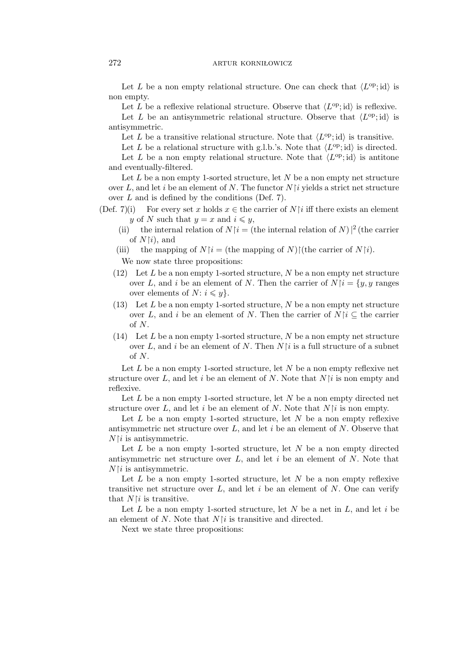### 272 **artur kornikowicz**

Let L be a non empty relational structure. One can check that  $\langle L^{\text{op}}; \text{id} \rangle$  is non empty.

Let L be a reflexive relational structure. Observe that  $\langle L^{\text{op}}; \text{id} \rangle$  is reflexive.

Let L be an antisymmetric relational structure. Observe that  $\langle L^{op} ; {\rm id} \rangle$  is antisymmetric.

Let L be a transitive relational structure. Note that  $\langle L^{\text{op}}; \text{id} \rangle$  is transitive.

Let L be a relational structure with g.l.b.'s. Note that  $\langle L^{op}$ ; id) is directed. Let L be a non empty relational structure. Note that  $\langle L^{op} ; {\rm id} \rangle$  is antitone and eventually-filtered.

Let  $L$  be a non empty 1-sorted structure, let  $N$  be a non empty net structure over L, and let i be an element of N. The functor  $N[i]$  yields a strict net structure over  $L$  and is defined by the conditions (Def. 7).

- (Def. 7)(i) For every set x holds  $x \in$  the carrier of N $\lceil i \rceil$  iff there exists an element y of N such that  $y = x$  and  $i \leq y$ ,
	- (ii) the internal relation of  $N|i = ($ the internal relation of  $N$ ) $|^2$  (the carrier of  $N[i]$ , and
	- (iii) the mapping of  $N\upharpoonright i =$  (the mapping of N) $\upharpoonright$  (the carrier of  $N\upharpoonright i$ ).

We now state three propositions:

- (12) Let  $L$  be a non empty 1-sorted structure,  $N$  be a non empty net structure over L, and i be an element of N. Then the carrier of  $N[i] = \{y, y \}$  ranges over elements of  $N: i \leq y$ .
- $(13)$  Let L be a non empty 1-sorted structure, N be a non empty net structure over L, and i be an element of N. Then the carrier of  $N\upharpoonright i \subseteq$  the carrier of N.
- (14) Let  $L$  be a non empty 1-sorted structure,  $N$  be a non empty net structure over L, and i be an element of N. Then  $N\mathfrak{f}$  is a full structure of a subnet of  $N$ .

Let  $L$  be a non empty 1-sorted structure, let  $N$  be a non empty reflexive net structure over L, and let i be an element of N. Note that  $N\mathfrak{f}$  is non empty and reflexive.

Let  $L$  be a non empty 1-sorted structure, let  $N$  be a non empty directed net structure over L, and let i be an element of N. Note that  $N|i$  is non empty.

Let  $L$  be a non empty 1-sorted structure, let  $N$  be a non empty reflexive antisymmetric net structure over  $L$ , and let i be an element of  $N$ . Observe that  $N\upharpoonright i$  is antisymmetric.

Let  $L$  be a non empty 1-sorted structure, let  $N$  be a non empty directed antisymmetric net structure over  $L$ , and let  $i$  be an element of  $N$ . Note that  $N\upharpoonright i$  is antisymmetric.

Let  $L$  be a non empty 1-sorted structure, let  $N$  be a non empty reflexive transitive net structure over  $L$ , and let i be an element of  $N$ . One can verify that  $N\upharpoonright i$  is transitive.

Let L be a non empty 1-sorted structure, let N be a net in  $L$ , and let i be an element of N. Note that  $N[i]$  is transitive and directed.

Next we state three propositions: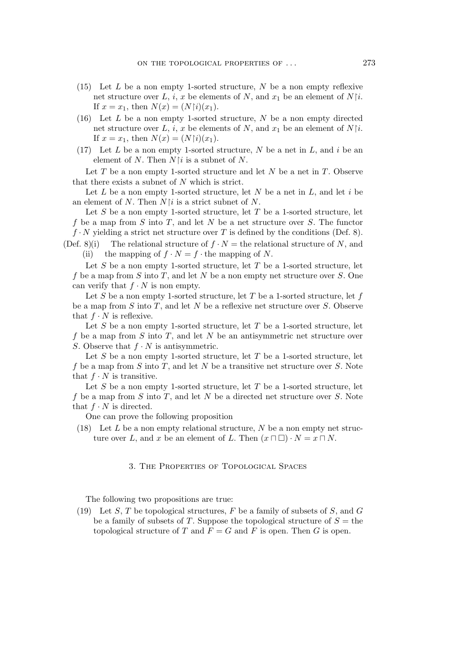- (15) Let  $L$  be a non empty 1-sorted structure,  $N$  be a non empty reflexive net structure over L, i, x be elements of N, and  $x_1$  be an element of  $N[i]$ . If  $x = x_1$ , then  $N(x) = (N \upharpoonright i)(x_1)$ .
- $(16)$  Let L be a non empty 1-sorted structure, N be a non empty directed net structure over L, i, x be elements of N, and  $x_1$  be an element of  $N[i]$ . If  $x = x_1$ , then  $N(x) = (N \upharpoonright i)(x_1)$ .
- (17) Let  $L$  be a non empty 1-sorted structure,  $N$  be a net in  $L$ , and  $i$  be an element of N. Then  $N$  is a subnet of N.

Let  $T$  be a non empty 1-sorted structure and let  $N$  be a net in  $T$ . Observe that there exists a subnet of  $N$  which is strict.

Let L be a non empty 1-sorted structure, let N be a net in  $L$ , and let i be an element of N. Then  $N\mathfrak{f}$  is a strict subnet of N.

Let S be a non empty 1-sorted structure, let T be a 1-sorted structure, let f be a map from S into T, and let N be a net structure over S. The functor  $f \cdot N$  yielding a strict net structure over T is defined by the conditions (Def. 8). (Def. 8)(i) The relational structure of  $f \cdot N =$  the relational structure of N, and

(ii) the mapping of  $f \cdot N = f \cdot$  the mapping of N.

Let  $S$  be a non empty 1-sorted structure, let  $T$  be a 1-sorted structure, let f be a map from S into T, and let N be a non empty net structure over S. One can verify that  $f \cdot N$  is non empty.

Let S be a non empty 1-sorted structure, let T be a 1-sorted structure, let  $f$ be a map from  $S$  into  $T$ , and let  $N$  be a reflexive net structure over  $S$ . Observe that  $f \cdot N$  is reflexive.

Let S be a non empty 1-sorted structure, let T be a 1-sorted structure, let f be a map from S into T, and let N be an antisymmetric net structure over S. Observe that  $f \cdot N$  is antisymmetric.

Let  $S$  be a non empty 1-sorted structure, let  $T$  be a 1-sorted structure, let f be a map from S into T, and let N be a transitive net structure over S. Note that  $f \cdot N$  is transitive.

Let  $S$  be a non empty 1-sorted structure, let  $T$  be a 1-sorted structure, let f be a map from  $S$  into  $T$ , and let  $N$  be a directed net structure over  $S$ . Note that  $f \cdot N$  is directed.

One can prove the following proposition

(18) Let L be a non empty relational structure, N be a non empty net structure over L, and x be an element of L. Then  $(x \sqcap \Box) \cdot N = x \sqcap N$ .

## 3. The Properties of Topological Spaces

The following two propositions are true:

(19) Let S, T be topological structures, F be a family of subsets of S, and  $G$ be a family of subsets of T. Suppose the topological structure of  $S =$  the topological structure of T and  $F = G$  and F is open. Then G is open.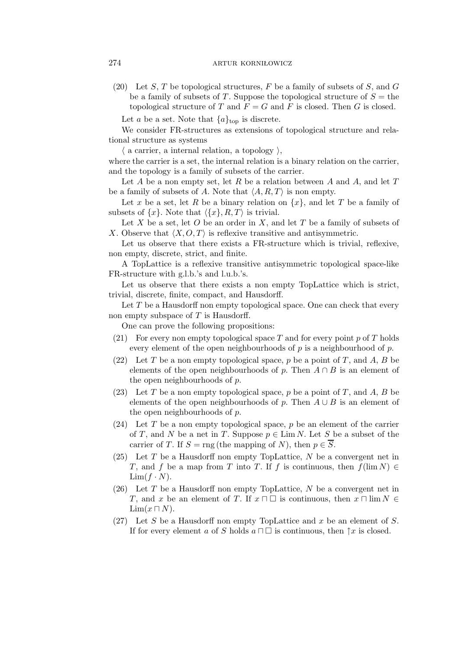(20) Let S, T be topological structures, F be a family of subsets of S, and G be a family of subsets of T. Suppose the topological structure of  $S =$  the topological structure of T and  $F = G$  and F is closed. Then G is closed.

Let a be a set. Note that  $\{a\}_{\text{top}}$  is discrete.

We consider FR-structures as extensions of topological structure and relational structure as systems

 $\langle$  a carrier, a internal relation, a topology  $\rangle$ ,

where the carrier is a set, the internal relation is a binary relation on the carrier, and the topology is a family of subsets of the carrier.

Let A be a non empty set, let R be a relation between A and A, and let T be a family of subsets of A. Note that  $\langle A, R, T \rangle$  is non empty.

Let x be a set, let R be a binary relation on  $\{x\}$ , and let T be a family of subsets of  $\{x\}$ . Note that  $\langle \{x\}, R, T \rangle$  is trivial.

Let  $X$  be a set, let  $O$  be an order in  $X$ , and let  $T$  be a family of subsets of X. Observe that  $\langle X, O, T \rangle$  is reflexive transitive and antisymmetric.

Let us observe that there exists a FR-structure which is trivial, reflexive, non empty, discrete, strict, and finite.

A TopLattice is a reflexive transitive antisymmetric topological space-like FR-structure with g.l.b.'s and l.u.b.'s.

Let us observe that there exists a non empty TopLattice which is strict, trivial, discrete, finite, compact, and Hausdorff.

Let  $T$  be a Hausdorff non empty topological space. One can check that every non empty subspace of  $T$  is Hausdorff.

One can prove the following propositions:

- (21) For every non empty topological space T and for every point  $p$  of T holds every element of the open neighbourhoods of  $p$  is a neighbourhood of  $p$ .
- (22) Let T be a non empty topological space, p be a point of T, and A, B be elements of the open neighbourhoods of p. Then  $A \cap B$  is an element of the open neighbourhoods of p.
- (23) Let T be a non empty topological space, p be a point of T, and A, B be elements of the open neighbourhoods of p. Then  $A \cup B$  is an element of the open neighbourhoods of p.
- (24) Let T be a non empty topological space, p be an element of the carrier of T, and N be a net in T. Suppose  $p \in \text{Lim } N$ . Let S be a subset of the carrier of T. If  $S = \text{rng}$  (the mapping of N), then  $p \in \overline{S}$ .
- $(25)$  Let T be a Hausdorff non empty TopLattice, N be a convergent net in T, and f be a map from T into T. If f is continuous, then  $f(\lim N) \in$  $\lim(f \cdot N)$ .
- (26) Let  $T$  be a Hausdorff non empty TopLattice,  $N$  be a convergent net in T, and x be an element of T. If  $x \sqcap \Box$  is continuous, then  $x \sqcap \lim N \in \Box$  $\lim(x \sqcap N)$ .
- (27) Let S be a Hausdorff non empty TopLattice and x be an element of S. If for every element a of S holds  $a \sqcap \square$  is continuous, then  $\uparrow x$  is closed.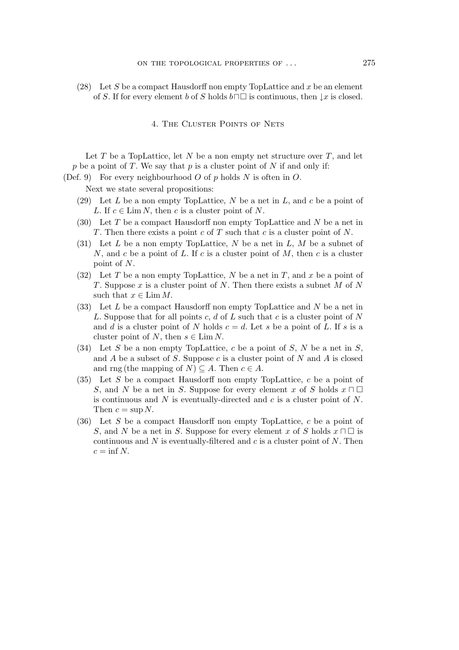(28) Let S be a compact Hausdorff non empty TopLattice and x be an element of S. If for every element b of S holds  $b \sqcap \Box$  is continuous, then  $\downarrow x$  is closed.

# 4. The Cluster Points of Nets

Let  $T$  be a TopLattice, let  $N$  be a non empty net structure over  $T$ , and let p be a point of T. We say that p is a cluster point of N if and only if:

(Def. 9) For every neighbourhood  $O$  of p holds  $N$  is often in  $O$ .

Next we state several propositions:

- (29) Let  $L$  be a non empty TopLattice,  $N$  be a net in  $L$ , and  $c$  be a point of L. If  $c \in \text{Lim } N$ , then c is a cluster point of N.
- (30) Let T be a compact Hausdorff non empty TopLattice and N be a net in T. Then there exists a point c of T such that c is a cluster point of  $N$ .
- (31) Let L be a non empty TopLattice, N be a net in  $L, M$  be a subnet of N, and c be a point of L. If c is a cluster point of  $M$ , then c is a cluster point of N.
- (32) Let T be a non empty TopLattice, N be a net in T, and x be a point of T. Suppose x is a cluster point of N. Then there exists a subnet  $M$  of  $N$ such that  $x \in \text{Lim }M$ .
- (33) Let L be a compact Hausdorff non empty TopLattice and N be a net in L. Suppose that for all points c,  $d$  of  $L$  such that c is a cluster point of  $N$ and d is a cluster point of N holds  $c = d$ . Let s be a point of L. If s is a cluster point of N, then  $s \in \text{Lim } N$ .
- (34) Let S be a non empty TopLattice, c be a point of S, N be a net in S, and  $A$  be a subset of  $S$ . Suppose  $c$  is a cluster point of  $N$  and  $A$  is closed and rng (the mapping of  $N$ )  $\subseteq$  A. Then  $c \in A$ .
- (35) Let S be a compact Hausdorff non empty TopLattice, c be a point of S, and N be a net in S. Suppose for every element x of S holds  $x \sqcap \square$ is continuous and  $N$  is eventually-directed and  $c$  is a cluster point of  $N$ . Then  $c = \sup N$ .
- (36) Let  $S$  be a compact Hausdorff non empty TopLattice,  $c$  be a point of S, and N be a net in S. Suppose for every element x of S holds  $x \sqcap \square$  is continuous and N is eventually-filtered and c is a cluster point of  $N$ . Then  $c = \inf N$ .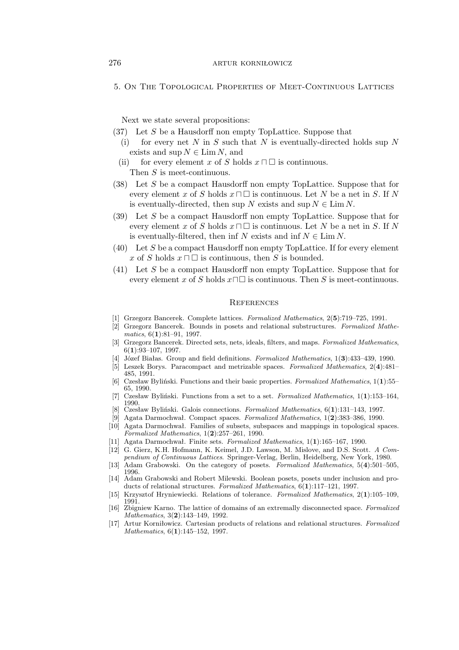5. On The Topological Properties of Meet-Continuous Lattices

Next we state several propositions:

- (37) Let S be a Hausdorff non empty TopLattice. Suppose that
	- (i) for every net  $N$  in  $S$  such that  $N$  is eventually-directed holds sup  $N$ exists and  $\sup N \in \lim N$ , and
	- (ii) for every element x of S holds  $x \sqcap \square$  is continuous. Then S is meet-continuous.
- (38) Let S be a compact Hausdorff non empty TopLattice. Suppose that for every element x of S holds  $x \sqcap \Box$  is continuous. Let N be a net in S. If N is eventually-directed, then sup N exists and sup  $N \in \text{Lim } N$ .
- (39) Let S be a compact Hausdorff non empty TopLattice. Suppose that for every element x of S holds  $x \sqcap \Box$  is continuous. Let N be a net in S. If N is eventually-filtered, then inf N exists and inf  $N \in \text{Lim } N$ .
- $(40)$  Let S be a compact Hausdorff non empty TopLattice. If for every element x of S holds  $x \sqcap \square$  is continuous, then S is bounded.
- (41) Let S be a compact Hausdorff non empty TopLattice. Suppose that for every element x of S holds  $x \Box \Box$  is continuous. Then S is meet-continuous.

#### **REFERENCES**

- [1] Grzegorz Bancerek. Complete lattices. *Formalized Mathematics*, 2(**5**):719–725, 1991.
- [2] Grzegorz Bancerek. Bounds in posets and relational substructures. *Formalized Mathematics*, 6(**1**):81–91, 1997.
- [3] Grzegorz Bancerek. Directed sets, nets, ideals, filters, and maps. *Formalized Mathematics*, 6(**1**):93–107, 1997.
- [4] Józef Białas. Group and field definitions. *Formalized Mathematics*, 1(**3**):433–439, 1990.
- [5] Leszek Borys. Paracompact and metrizable spaces. *Formalized Mathematics*, 2(**4**):481– 485, 1991.
- [6] Czesław Byliński. Functions and their basic properties. *Formalized Mathematics*, 1(**1**):55– 65, 1990.
- [7] Czesław Byliński. Functions from a set to a set. *Formalized Mathematics*, 1(**1**):153–164, 1990.
- [8] Czesław Byliński. Galois connections. *Formalized Mathematics*, 6(**1**):131–143, 1997. [9] Agata Darmochwał. Compact spaces. *Formalized Mathematics*, 1(**2**):383–386, 1990.
- [10] Agata Darmochwał. Families of subsets, subspaces and mappings in topological spaces. *Formalized Mathematics*, 1(**2**):257–261, 1990.
- [11] Agata Darmochwał. Finite sets. *Formalized Mathematics*, 1(**1**):165–167, 1990.
- [12] G. Gierz, K.H. Hofmann, K. Keimel, J.D. Lawson, M. Mislove, and D.S. Scott. *A Compendium of Continuous Lattices*. Springer-Verlag, Berlin, Heidelberg, New York, 1980.
- [13] Adam Grabowski. On the category of posets. *Formalized Mathematics*, 5(**4**):501–505, 1996.
- [14] Adam Grabowski and Robert Milewski. Boolean posets, posets under inclusion and products of relational structures. *Formalized Mathematics*, 6(**1**):117–121, 1997.
- [15] Krzysztof Hryniewiecki. Relations of tolerance. *Formalized Mathematics*, 2(**1**):105–109, 1991.
- [16] Zbigniew Karno. The lattice of domains of an extremally disconnected space. *Formalized Mathematics*, 3(**2**):143–149, 1992.
- [17] Artur Korniłowicz. Cartesian products of relations and relational structures. *Formalized Mathematics*, 6(**1**):145–152, 1997.